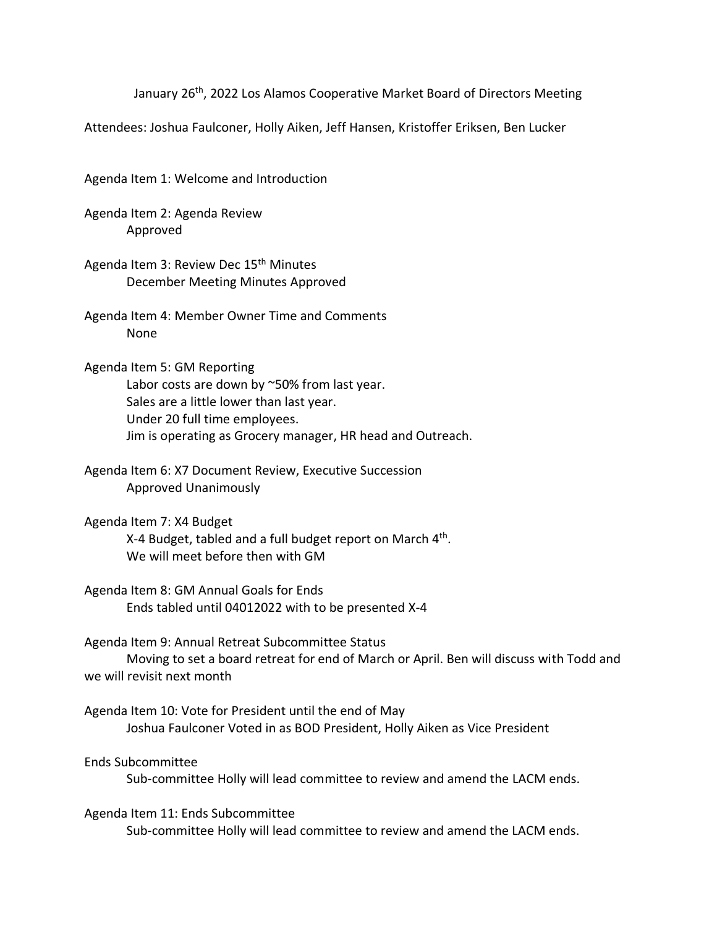January 26<sup>th</sup>, 2022 Los Alamos Cooperative Market Board of Directors Meeting

Attendees: Joshua Faulconer, Holly Aiken, Jeff Hansen, Kristoffer Eriksen, Ben Lucker

Agenda Item 1: Welcome and Introduction

Agenda Item 2: Agenda Review Approved

Agenda Item 3: Review Dec 15<sup>th</sup> Minutes December Meeting Minutes Approved

Agenda Item 4: Member Owner Time and Comments None

Agenda Item 5: GM Reporting Labor costs are down by ~50% from last year. Sales are a little lower than last year. Under 20 full time employees. Jim is operating as Grocery manager, HR head and Outreach.

Agenda Item 6: X7 Document Review, Executive Succession Approved Unanimously

Agenda Item 7: X4 Budget X-4 Budget, tabled and a full budget report on March 4<sup>th</sup>. We will meet before then with GM

Agenda Item 8: GM Annual Goals for Ends Ends tabled until 04012022 with to be presented X-4

Agenda Item 9: Annual Retreat Subcommittee Status Moving to set a board retreat for end of March or April. Ben will discuss with Todd and we will revisit next month

Agenda Item 10: Vote for President until the end of May Joshua Faulconer Voted in as BOD President, Holly Aiken as Vice President

Ends Subcommittee Sub-committee Holly will lead committee to review and amend the LACM ends.

Agenda Item 11: Ends Subcommittee Sub-committee Holly will lead committee to review and amend the LACM ends.